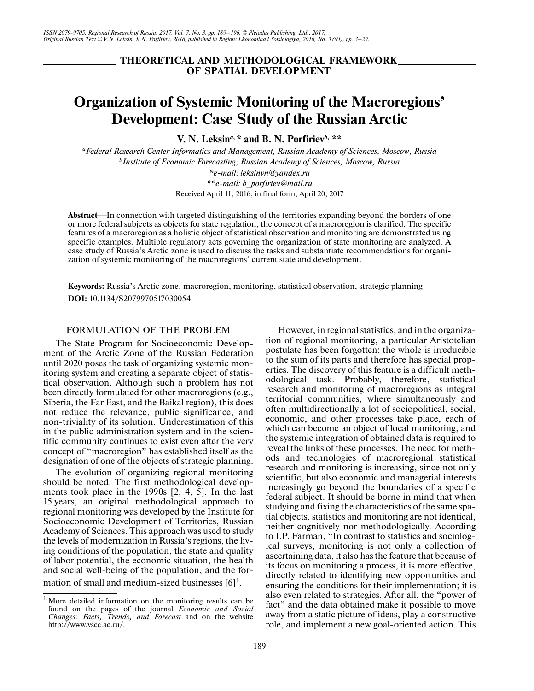# **THEORETICAL AND METHODOLOGICAL FRAMEWORK OF SPATIAL DEVELOPMENT**

# **Organization of Systemic Monitoring of the Macroregions' Development: Case Study of the Russian Arctic**

**V. N. Leksin***a***, \* and B. N. Porfiriev***b***, \*\***

*aFederal Research Center Informatics and Management, Russian Academy of Sciences, Moscow, Russia b Institute of Economic Forecasting, Russian Academy of Sciences, Moscow, Russia \*e-mail: leksinvn@yandex.ru*

*\*\*e-mail: b\_porfiriev@mail.ru*

Received April 11, 2016; in final form, April 20, 2017

Abstract—In connection with targeted distinguishing of the territories expanding beyond the borders of one or more federal subjects as objects for state regulation, the concept of a macroregion is clarified. The specific features of a macroregion as a holistic object of statistical observation and monitoring are demonstrated using specific examples. Multiple regulatory acts governing the organization of state monitoring are analyzed. A case study of Russia's Arctic zone is used to discuss the tasks and substantiate recommendations for organization of systemic monitoring of the macroregions' current state and development.

**Keywords:** Russia's Arctic zone, macroregion, monitoring, statistical observation, strategic planning **DOI:** 10.1134/S2079970517030054

# FORMULATION OF THE PROBLEM

The State Program for Socioeconomic Development of the Arctic Zone of the Russian Federation until 2020 poses the task of organizing systemic monitoring system and creating a separate object of statistical observation. Although such a problem has not been directly formulated for other macroregions (e.g., Siberia, the Far East, and the Baikal region), this does not reduce the relevance, public significance, and non-triviality of its solution. Underestimation of this in the public administration system and in the scientific community continues to exist even after the very concept of "macroregion" has established itself as the designation of one of the objects of strategic planning.

The evolution of organizing regional monitoring should be noted. The first methodological developments took place in the 1990s [2, 4, 5]. In the last 15 years, an original methodological approach to regional monitoring was developed by the Institute for Socioeconomic Development of Territories, Russian Academy of Sciences. This approach was used to study the levels of modernization in Russia's regions, the living conditions of the population, the state and quality of labor potential, the economic situation, the health and social well-being of the population, and the formation of small and medium-sized businesses  $[6]$ <sup>1</sup>.

However, in regional statistics, and in the organization of regional monitoring, a particular Aristotelian postulate has been forgotten: the whole is irreducible to the sum of its parts and therefore has special properties. The discovery of this feature is a difficult methodological task. Probably, therefore, statistical research and monitoring of macroregions as integral territorial communities, where simultaneously and often multidirectionally a lot of sociopolitical, social, economic, and other processes take place, each of which can become an object of local monitoring, and the systemic integration of obtained data is required to reveal the links of these processes. The need for methods and technologies of macroregional statistical research and monitoring is increasing, since not only scientific, but also economic and managerial interests increasingly go beyond the boundaries of a specific federal subject. It should be borne in mind that when studying and fixing the characteristics of the same spatial objects, statistics and monitoring are not identical, neither cognitively nor methodologically. According to I.P. Farman, "In contrast to statistics and sociological surveys, monitoring is not only a collection of ascertaining data, it also has the feature that because of its focus on monitoring a process, it is more effective, directly related to identifying new opportunities and ensuring the conditions for their implementation; it is also even related to strategies. After all, the "power of fact" and the data obtained make it possible to move away from a static picture of ideas, play a constructive role, and implement a new goal-oriented action. This

<sup>&</sup>lt;sup>1</sup> More detailed information on the monitoring results can be found on the pages of the journal *Economic and Social Changes: Facts, Trends, and Forecast* and on the website http://www.vscc.ac.ru/.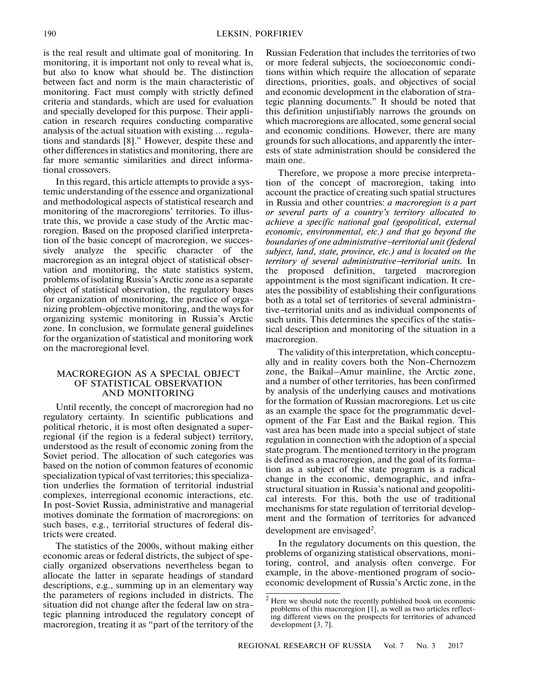is the real result and ultimate goal of monitoring. In monitoring, it is important not only to reveal what is, but also to know what should be. The distinction between fact and norm is the main characteristic of monitoring. Fact must comply with strictly defined criteria and standards, which are used for evaluation and specially developed for this purpose. Their application in research requires conducting comparative analysis of the actual situation with existing … regulations and standards [8]." However, despite these and other differences in statistics and monitoring, there are far more semantic similarities and direct informational crossovers.

In this regard, this article attempts to provide a systemic understanding of the essence and organizational and methodological aspects of statistical research and monitoring of the macroregions' territories. To illustrate this, we provide a case study of the Arctic macroregion. Based on the proposed clarified interpretation of the basic concept of macroregion, we successively analyze the specific character of the macroregion as an integral object of statistical observation and monitoring, the state statistics system, problems of isolating Russia's Arctic zone as a separate object of statistical observation, the regulatory bases for organization of monitoring, the practice of organizing problem-objective monitoring, and the ways for organizing systemic monitoring in Russia's Arctic zone. In conclusion, we formulate general guidelines for the organization of statistical and monitoring work on the macroregional level.

## MACROREGION AS A SPECIAL OBJECT OF STATISTICAL OBSERVATION AND MONITORING

Until recently, the concept of macroregion had no regulatory certainty. In scientific publications and political rhetoric, it is most often designated a superregional (if the region is a federal subject) territory, understood as the result of economic zoning from the Soviet period. The allocation of such categories was based on the notion of common features of economic specialization typical of vast territories; this specialization underlies the formation of territorial industrial complexes, interregional economic interactions, etc. In post-Soviet Russia, administrative and managerial motives dominate the formation of macroregions: on such bases, e.g., territorial structures of federal districts were created.

The statistics of the 2000s, without making either economic areas or federal districts, the subject of specially organized observations nevertheless began to allocate the latter in separate headings of standard descriptions, e.g., summing up in an elementary way the parameters of regions included in districts. The situation did not change after the federal law on strategic planning introduced the regulatory concept of macroregion, treating it as "part of the territory of the

Russian Federation that includes the territories of two or more federal subjects, the socioeconomic conditions within which require the allocation of separate directions, priorities, goals, and objectives of social and economic development in the elaboration of strategic planning documents." It should be noted that this definition unjustifiably narrows the grounds on which macroregions are allocated, some general social and economic conditions. However, there are many grounds for such allocations, and apparently the interests of state administration should be considered the main one.

Therefore, we propose a more precise interpretation of the concept of macroregion, taking into account the practice of creating such spatial structures in Russia and other countries: *a macroregion is a part or several parts of a country's territory allocated to achieve a specific national goal (geopolitical, external economic, environmental, etc.) and that go beyond the boundaries of one administrative*−*territorial unit (federal subject, land, state, province, etc.) and is located on the territory of several administrative*−*territorial units.* In the proposed definition, targeted macroregion appointment is the most significant indication. It creates the possibility of establishing their configurations both as a total set of territories of several administrative−territorial units and as individual components of such units. This determines the specifics of the statistical description and monitoring of the situation in a macroregion.

The validity of this interpretation, which conceptually and in reality covers both the Non-Chernozem zone, the Baikal–Amur mainline, the Arctic zone, and a number of other territories, has been confirmed by analysis of the underlying causes and motivations for the formation of Russian macroregions. Let us cite as an example the space for the programmatic development of the Far East and the Baikal region. This vast area has been made into a special subject of state regulation in connection with the adoption of a special state program. The mentioned territory in the program is defined as a macroregion, and the goal of its formation as a subject of the state program is a radical change in the economic, demographic, and infrastructural situation in Russia's national and geopolitical interests. For this, both the use of traditional mechanisms for state regulation of territorial development and the formation of territories for advanced development are envisaged<sup>2</sup>.

In the regulatory documents on this question, the problems of organizing statistical observations, monitoring, control, and analysis often converge. For example, in the above-mentioned program of socioeconomic development of Russia's Arctic zone, in the

<sup>&</sup>lt;sup>2</sup> Here we should note the recently published book on economic problems of this macroregion [1], as well as two articles reflecting different views on the prospects for territories of advanced development [3, 7].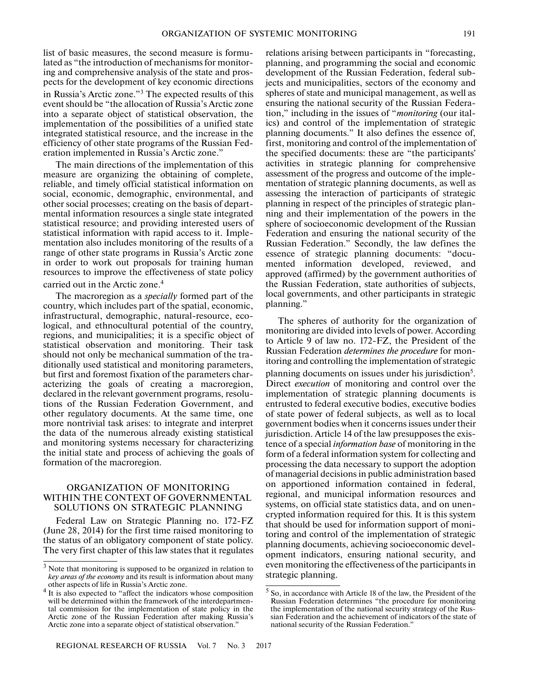list of basic measures, the second measure is formulated as "the introduction of mechanisms for monitoring and comprehensive analysis of the state and prospects for the development of key economic directions in Russia's Arctic zone."3 The expected results of this event should be "the allocation of Russia's Arctic zone into a separate object of statistical observation, the implementation of the possibilities of a unified state integrated statistical resource, and the increase in the efficiency of other state programs of the Russian Federation implemented in Russia's Arctic zone."

The main directions of the implementation of this measure are organizing the obtaining of complete, reliable, and timely official statistical information on social, economic, demographic, environmental, and other social processes; creating on the basis of departmental information resources a single state integrated statistical resource; and providing interested users of statistical information with rapid access to it. Implementation also includes monitoring of the results of a range of other state programs in Russia's Arctic zone in order to work out proposals for training human resources to improve the effectiveness of state policy carried out in the Arctic zone.4

The macroregion as a *specially* formed part of the country, which includes part of the spatial, economic, infrastructural, demographic, natural-resource, ecological, and ethnocultural potential of the country, regions, and municipalities; it is a specific object of statistical observation and monitoring. Their task should not only be mechanical summation of the traditionally used statistical and monitoring parameters, but first and foremost fixation of the parameters characterizing the goals of creating a macroregion, declared in the relevant government programs, resolutions of the Russian Federation Government, and other regulatory documents. At the same time, one more nontrivial task arises: to integrate and interpret the data of the numerous already existing statistical and monitoring systems necessary for characterizing the initial state and process of achieving the goals of formation of the macroregion.

## ORGANIZATION OF MONITORING WITHIN THE CONTEXT OF GOVERNMENTAL SOLUTIONS ON STRATEGIC PLANNING

Federal Law on Strategic Planning no. 172-FZ (June 28, 2014) for the first time raised monitoring to the status of an obligatory component of state policy. The very first chapter of this law states that it regulates

relations arising between participants in "forecasting, planning, and programming the social and economic development of the Russian Federation, federal subjects and municipalities, sectors of the economy and spheres of state and municipal management, as well as ensuring the national security of the Russian Federation," including in the issues of "*monitoring* (our italics) and control of the implementation of strategic planning documents." It also defines the essence of, first, monitoring and control of the implementation of the specified documents: these are "the participants' activities in strategic planning for comprehensive assessment of the progress and outcome of the implementation of strategic planning documents, as well as assessing the interaction of participants of strategic planning in respect of the principles of strategic planning and their implementation of the powers in the sphere of socioeconomic development of the Russian Federation and ensuring the national security of the Russian Federation." Secondly, the law defines the essence of strategic planning documents: "documented information developed, reviewed, and approved (affirmed) by the government authorities of the Russian Federation, state authorities of subjects, local governments, and other participants in strategic planning."

The spheres of authority for the organization of monitoring are divided into levels of power. According to Article 9 of law no. 172-FZ, the President of the Russian Federation *determines the procedure* for monitoring and controlling the implementation of strategic

planning documents on issues under his jurisdiction<sup>5</sup>. Direct *execution* of monitoring and control over the implementation of strategic planning documents is entrusted to federal executive bodies, executive bodies of state power of federal subjects, as well as to local government bodies when it concerns issues under their jurisdiction. Article 14 of the law presupposes the existence of a special *information base* of monitoring in the form of a federal information system for collecting and processing the data necessary to support the adoption of managerial decisions in public administration based on apportioned information contained in federal, regional, and municipal information resources and systems, on official state statistics data, and on unencrypted information required for this. It is this system that should be used for information support of monitoring and control of the implementation of strategic planning documents, achieving socioeconomic development indicators, ensuring national security, and even monitoring the effectiveness of the participants in strategic planning.

<sup>&</sup>lt;sup>3</sup> Note that monitoring is supposed to be organized in relation to *key areas of the economy* and its result is information about many other aspects of life in Russia's Arctic zone.

<sup>&</sup>lt;sup>4</sup> It is also expected to "affect the indicators whose composition will be determined within the framework of the interdepartmental commission for the implementation of state policy in the Arctic zone of the Russian Federation after making Russia's Arctic zone into a separate object of statistical observation."

 $<sup>5</sup>$  So, in accordance with Article 18 of the law, the President of the</sup> Russian Federation determines "the procedure for monitoring the implementation of the national security strategy of the Russian Federation and the achievement of indicators of the state of national security of the Russian Federation."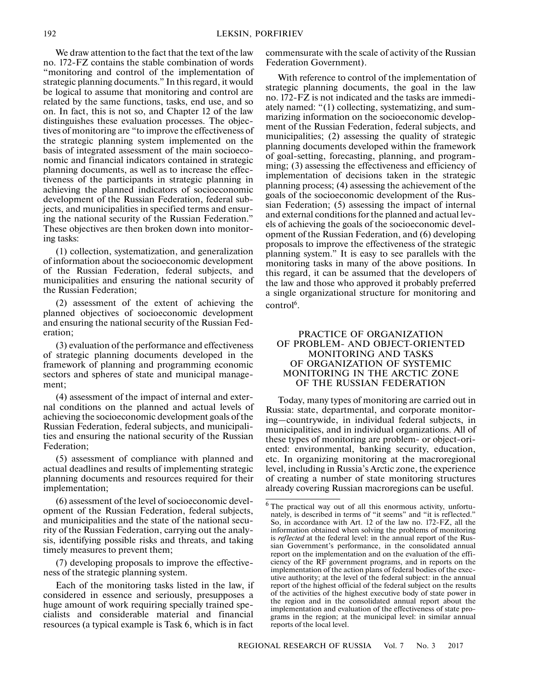We draw attention to the fact that the text of the law no. 172-FZ contains the stable combination of words "monitoring and control of the implementation of strategic planning documents." In this regard, it would be logical to assume that monitoring and control are related by the same functions, tasks, end use, and so on. In fact, this is not so, and Chapter 12 of the law distinguishes these evaluation processes. The objectives of monitoring are "to improve the effectiveness of the strategic planning system implemented on the basis of integrated assessment of the main socioeconomic and financial indicators contained in strategic planning documents, as well as to increase the effectiveness of the participants in strategic planning in achieving the planned indicators of socioeconomic development of the Russian Federation, federal subjects, and municipalities in specified terms and ensuring the national security of the Russian Federation." These objectives are then broken down into monitoring tasks:

(1) collection, systematization, and generalization of information about the socioeconomic development of the Russian Federation, federal subjects, and municipalities and ensuring the national security of the Russian Federation;

(2) assessment of the extent of achieving the planned objectives of socioeconomic development and ensuring the national security of the Russian Federation;

(3) evaluation of the performance and effectiveness of strategic planning documents developed in the framework of planning and programming economic sectors and spheres of state and municipal management;

(4) assessment of the impact of internal and external conditions on the planned and actual levels of achieving the socioeconomic development goals of the Russian Federation, federal subjects, and municipalities and ensuring the national security of the Russian Federation;

(5) assessment of compliance with planned and actual deadlines and results of implementing strategic planning documents and resources required for their implementation;

(6) assessment of the level of socioeconomic development of the Russian Federation, federal subjects, and municipalities and the state of the national security of the Russian Federation, carrying out the analysis, identifying possible risks and threats, and taking timely measures to prevent them;

(7) developing proposals to improve the effectiveness of the strategic planning system.

Each of the monitoring tasks listed in the law, if considered in essence and seriously, presupposes a huge amount of work requiring specially trained specialists and considerable material and financial resources (a typical example is Task 6, which is in fact

commensurate with the scale of activity of the Russian Federation Government).

With reference to control of the implementation of strategic planning documents, the goal in the law no. 172-FZ is not indicated and the tasks are immediately named: "(1) collecting, systematizing, and summarizing information on the socioeconomic development of the Russian Federation, federal subjects, and municipalities; (2) assessing the quality of strategic planning documents developed within the framework of goal-setting, forecasting, planning, and programming; (3) assessing the effectiveness and efficiency of implementation of decisions taken in the strategic planning process; (4) assessing the achievement of the goals of the socioeconomic development of the Russian Federation; (5) assessing the impact of internal and external conditions for the planned and actual levels of achieving the goals of the socioeconomic development of the Russian Federation, and (6) developing proposals to improve the effectiveness of the strategic planning system." It is easy to see parallels with the monitoring tasks in many of the above positions. In this regard, it can be assumed that the developers of the law and those who approved it probably preferred a single organizational structure for monitoring and control<sup>6</sup>.

## PRACTICE OF ORGANIZATION OF PROBLEM- AND OBJECT-ORIENTED MONITORING AND TASKS OF ORGANIZATION OF SYSTEMIC MONITORING IN THE ARCTIC ZONE OF THE RUSSIAN FEDERATION

Today, many types of monitoring are carried out in Russia: state, departmental, and corporate monitoring—countrywide, in individual federal subjects, in municipalities, and in individual organizations. All of these types of monitoring are problem- or object-oriented: environmental, banking security, education, etc. In organizing monitoring at the macroregional level, including in Russia's Arctic zone, the experience of creating a number of state monitoring structures already covering Russian macroregions can be useful.

 $6$  The practical way out of all this enormous activity, unfortunately, is described in terms of "it seems" and "it is reflected." So, in accordance with Art. 12 of the law no. 172-FZ, all the information obtained when solving the problems of monitoring is *reflected* at the federal level: in the annual report of the Russian Government's performance, in the consolidated annual report on the implementation and on the evaluation of the efficiency of the RF government programs, and in reports on the implementation of the action plans of federal bodies of the executive authority; at the level of the federal subject: in the annual report of the highest official of the federal subject on the results of the activities of the highest executive body of state power in the region and in the consolidated annual report about the implementation and evaluation of the effectiveness of state programs in the region; at the municipal level: in similar annual reports of the local level.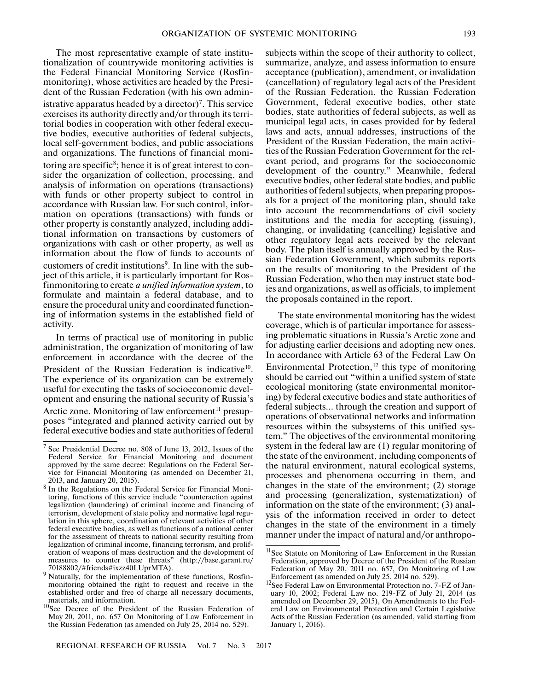The most representative example of state institutionalization of countrywide monitoring activities is the Federal Financial Monitoring Service (Rosfinmonitoring), whose activities are headed by the President of the Russian Federation (with his own administrative apparatus headed by a director)<sup>7</sup>. This service exercises its authority directly and/or through its territorial bodies in cooperation with other federal executive bodies, executive authorities of federal subjects, local self-government bodies, and public associations and organizations. The functions of financial monitoring are specific<sup>8</sup>; hence it is of great interest to consider the organization of collection, processing, and analysis of information on operations (transactions) with funds or other property subject to control in accordance with Russian law. For such control, information on operations (transactions) with funds or other property is constantly analyzed, including additional information on transactions by customers of organizations with cash or other property, as well as information about the flow of funds to accounts of customers of credit institutions<sup>9</sup>. In line with the subject of this article, it is particularly important for Rosfinmonitoring to create *a unified information system*, to formulate and maintain a federal database, and to ensure the procedural unity and coordinated functioning of information systems in the established field of

In terms of practical use of monitoring in public administration, the organization of monitoring of law enforcement in accordance with the decree of the President of the Russian Federation is indicative<sup>10</sup>. The experience of its organization can be extremely useful for executing the tasks of socioeconomic development and ensuring the national security of Russia's

activity.

Arctic zone. Monitoring of law enforcement<sup>11</sup> presupposes "integrated and planned activity carried out by federal executive bodies and state authorities of federal subjects within the scope of their authority to collect, summarize, analyze, and assess information to ensure acceptance (publication), amendment, or invalidation (cancellation) of regulatory legal acts of the President of the Russian Federation, the Russian Federation Government, federal executive bodies, other state bodies, state authorities of federal subjects, as well as municipal legal acts, in cases provided for by federal laws and acts, annual addresses, instructions of the President of the Russian Federation, the main activities of the Russian Federation Government for the relevant period, and programs for the socioeconomic development of the country." Meanwhile, federal executive bodies, other federal state bodies, and public authorities of federal subjects, when preparing proposals for a project of the monitoring plan, should take into account the recommendations of civil society institutions and the media for accepting (issuing), changing, or invalidating (cancelling) legislative and other regulatory legal acts received by the relevant body. The plan itself is annually approved by the Russian Federation Government, which submits reports on the results of monitoring to the President of the Russian Federation, who then may instruct state bodies and organizations, as well as officials, to implement the proposals contained in the report.

The state environmental monitoring has the widest coverage, which is of particular importance for assessing problematic situations in Russia's Arctic zone and for adjusting earlier decisions and adopting new ones. In accordance with Article 63 of the Federal Law On Environmental Protection, $12$  this type of monitoring should be carried out "within a unified system of state ecological monitoring (state environmental monitoring) by federal executive bodies and state authorities of federal subjects… through the creation and support of operations of observational networks and information resources within the subsystems of this unified system." The objectives of the environmental monitoring system in the federal law are (1) regular monitoring of the state of the environment, including components of the natural environment, natural ecological systems, processes and phenomena occurring in them, and changes in the state of the environment; (2) storage and processing (generalization, systematization) of information on the state of the environment; (3) analysis of the information received in order to detect changes in the state of the environment in a timely manner under the impact of natural and/or anthropo-

<sup>7</sup> See Presidential Decree no. 808 of June 13, 2012, Issues of the Federal Service for Financial Monitoring and document approved by the same decree: Regulations on the Federal Service for Financial Monitoring (as amended on December 21, 2013, and January 20, 2015).

<sup>8</sup> In the Regulations on the Federal Service for Financial Monitoring, functions of this service include "counteraction against legalization (laundering) of criminal income and financing of terrorism, development of state policy and normative legal regulation in this sphere, coordination of relevant activities of other federal executive bodies, as well as functions of a national center for the assessment of threats to national security resulting from legalization of criminal income, financing terrorism, and proliferation of weapons of mass destruction and the development of measures to counter these threats" (http://base.garant.ru/ 70188802/#friends#ixzz40LUprMTA).

<sup>&</sup>lt;sup>9</sup> Naturally, for the implementation of these functions, Rosfinmonitoring obtained the right to request and receive in the established order and free of charge all necessary documents, materials, and information.

<sup>&</sup>lt;sup>10</sup>See Decree of the President of the Russian Federation of May 20, 2011, no. 657 On Monitoring of Law Enforcement in the Russian Federation (as amended on July 25, 2014 no. 529).

<sup>&</sup>lt;sup>11</sup>See Statute on Monitoring of Law Enforcement in the Russian Federation, approved by Decree of the President of the Russian Federation of May 20, 2011 no. 657, On Monitoring of Law Enforcement (as amended on July 25, 2014 no. 529).

<sup>&</sup>lt;sup>12</sup>See Federal Law on Environmental Protection no. 7-FZ of January 10, 2002; Federal Law no. 219-FZ of July 21, 2014 (as amended on December 29, 2015), On Amendments to the Federal Law on Environmental Protection and Certain Legislative Acts of the Russian Federation (as amended, valid starting from January 1, 2016).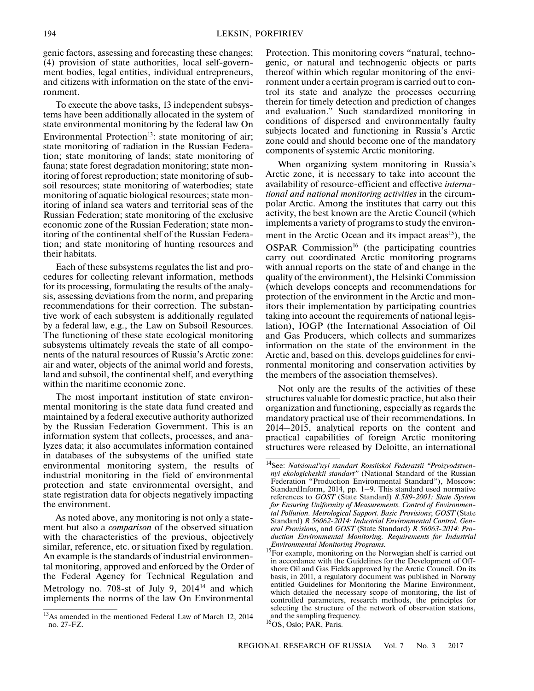genic factors, assessing and forecasting these changes; (4) provision of state authorities, local self-government bodies, legal entities, individual entrepreneurs, and citizens with information on the state of the environment.

To execute the above tasks, 13 independent subsystems have been additionally allocated in the system of state environmental monitoring by the federal law On Environmental Protection<sup>13</sup>: state monitoring of air; state monitoring of radiation in the Russian Federation; state monitoring of lands; state monitoring of fauna; state forest degradation monitoring; state monitoring of forest reproduction; state monitoring of subsoil resources; state monitoring of waterbodies; state monitoring of aquatic biological resources; state monitoring of inland sea waters and territorial seas of the Russian Federation; state monitoring of the exclusive economic zone of the Russian Federation; state monitoring of the continental shelf of the Russian Federation; and state monitoring of hunting resources and their habitats.

Each of these subsystems regulates the list and procedures for collecting relevant information, methods for its processing, formulating the results of the analysis, assessing deviations from the norm, and preparing recommendations for their correction. The substantive work of each subsystem is additionally regulated by a federal law, e.g., the Law on Subsoil Resources. The functioning of these state ecological monitoring subsystems ultimately reveals the state of all components of the natural resources of Russia's Arctic zone: air and water, objects of the animal world and forests, land and subsoil, the continental shelf, and everything within the maritime economic zone.

The most important institution of state environmental monitoring is the state data fund created and maintained by a federal executive authority authorized by the Russian Federation Government. This is an information system that collects, processes, and analyzes data; it also accumulates information contained in databases of the subsystems of the unified state environmental monitoring system, the results of industrial monitoring in the field of environmental protection and state environmental oversight, and state registration data for objects negatively impacting the environment.

As noted above, any monitoring is not only a statement but also a *comparison* of the observed situation with the characteristics of the previous, objectively similar, reference, etc. or situation fixed by regulation. An example is the standards of industrial environmental monitoring, approved and enforced by the Order of the Federal Agency for Technical Regulation and Metrology no. 708-st of July 9,  $2014<sup>14</sup>$  and which implements the norms of the law On Environmental

Protection. This monitoring covers "natural, technogenic, or natural and technogenic objects or parts thereof within which regular monitoring of the environment under a certain program is carried out to control its state and analyze the processes occurring therein for timely detection and prediction of changes and evaluation." Such standardized monitoring in conditions of dispersed and environmentally faulty subjects located and functioning in Russia's Arctic zone could and should become one of the mandatory components of systemic Arctic monitoring.

When organizing system monitoring in Russia's Arctic zone, it is necessary to take into account the availability of resource-efficient and effective *international and national monitoring activities* in the circumpolar Arctic. Among the institutes that carry out this activity, the best known are the Arctic Council (which implements a variety of programs to study the environment in the Arctic Ocean and its impact areas<sup>15</sup>), the  $OSPAR$  Commission<sup>16</sup> (the participating countries carry out coordinated Arctic monitoring programs with annual reports on the state of and change in the quality of the environment), the Helsinki Commission (which develops concepts and recommendations for protection of the environment in the Arctic and monitors their implementation by participating countries taking into account the requirements of national legislation), IOGP (the International Association of Oil and Gas Producers, which collects and summarizes information on the state of the environment in the Arctic and, based on this, develops guidelines for environmental monitoring and conservation activities by the members of the association themselves).

Not only are the results of the activities of these structures valuable for domestic practice, but also their organization and functioning, especially as regards the mandatory practical use of their recommendations. In 2014–2015, analytical reports on the content and practical capabilities of foreign Arctic monitoring structures were released by Deloitte, an international

<sup>&</sup>lt;sup>13</sup>As amended in the mentioned Federal Law of March 12, 2014 no. 27-FZ.

<sup>14</sup>See: *Natsional'nyi standart Rossiiskoi Federatsii "Proizvodstvennyi ekologicheskii standart"* (National Standard of the Russian Federation "Production Environmental Standard"), Moscow: StandardInform, 2014, pp. 1–9. This standard used normative references to *GOST* (State Standard) *8.589-2001: State System for Ensuring Uniformity of Measurements. Control of Environmental Pollution. Metrological Support. Basic Provisions*; *GOST* (State Standard) *R 56062-2014: Industrial Environmental Control. General Provisions,* and *GOST* (State Standard) *R 56063-2014: Production Environmental Monitoring. Requirements for Industrial Environmental Monitoring Programs.*

<sup>&</sup>lt;sup>15</sup>For example, monitoring on the Norwegian shelf is carried out in accordance with the Guidelines for the Development of Offshore Oil and Gas Fields approved by the Arctic Council. On its basis, in 2011, a regulatory document was published in Norway entitled Guidelines for Monitoring the Marine Environment, which detailed the necessary scope of monitoring, the list of controlled parameters, research methods, the principles for selecting the structure of the network of observation stations, and the sampling frequency.

<sup>&</sup>lt;sup>16</sup>OS, Oslo; PAR, Paris.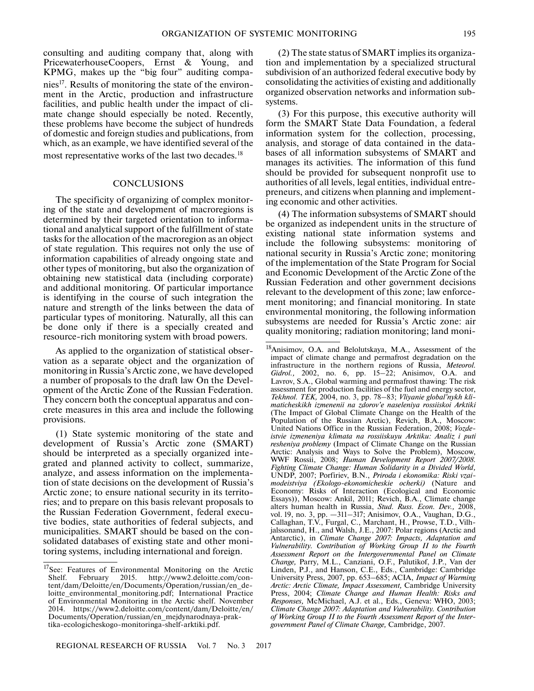consulting and auditing company that, along with PricewaterhouseCoopers, Ernst & Young, and KPMG, makes up the "big four" auditing companies<sup>17</sup>. Results of monitoring the state of the environment in the Arctic, production and infrastructure facilities, and public health under the impact of climate change should especially be noted. Recently, these problems have become the subject of hundreds of domestic and foreign studies and publications, from which, as an example, we have identified several of the most representative works of the last two decades.<sup>18</sup>

#### **CONCLUSIONS**

The specificity of organizing of complex monitoring of the state and development of macroregions is determined by their targeted orientation to informational and analytical support of the fulfillment of state tasks for the allocation of the macroregion as an object of state regulation. This requires not only the use of information capabilities of already ongoing state and other types of monitoring, but also the organization of obtaining new statistical data (including corporate) and additional monitoring. Of particular importance is identifying in the course of such integration the nature and strength of the links between the data of particular types of monitoring. Naturally, all this can be done only if there is a specially created and resource-rich monitoring system with broad powers.

As applied to the organization of statistical observation as a separate object and the organization of monitoring in Russia's Arctic zone, we have developed a number of proposals to the draft law On the Development of the Arctic Zone of the Russian Federation. They concern both the conceptual apparatus and concrete measures in this area and include the following provisions.

(1) State systemic monitoring of the state and development of Russia's Arctic zone (SMART) should be interpreted as a specially organized integrated and planned activity to collect, summarize, analyze, and assess information on the implementation of state decisions on the development of Russia's Arctic zone; to ensure national security in its territories; and to prepare on this basis relevant proposals to the Russian Federation Government, federal executive bodies, state authorities of federal subjects, and municipalities. SMART should be based on the consolidated databases of existing state and other monitoring systems, including international and foreign.

(2) The state status of SMART implies its organization and implementation by a specialized structural subdivision of an authorized federal executive body by consolidating the activities of existing and additionally organized observation networks and information subsystems.

(3) For this purpose, this executive authority will form the SMART State Data Foundation, a federal information system for the collection, processing, analysis, and storage of data contained in the databases of all information subsystems of SMART and manages its activities. The information of this fund should be provided for subsequent nonprofit use to authorities of all levels, legal entities, individual entrepreneurs, and citizens when planning and implementing economic and other activities.

(4) The information subsystems of SMART should be organized as independent units in the structure of existing national state information systems and include the following subsystems: monitoring of national security in Russia's Arctic zone; monitoring of the implementation of the State Program for Social and Economic Development of the Arctic Zone of the Russian Federation and other government decisions relevant to the development of this zone; law enforcement monitoring; and financial monitoring. In state environmental monitoring, the following information subsystems are needed for Russia's Arctic zone: air quality monitoring; radiation monitoring; land moni-

<sup>&</sup>lt;sup>17</sup>See: Features of Environmental Monitoring on the Arctic Shelf. February 2015. http://www2.deloitte.com/content/dam/Deloitte/en/Documents/Operation/russian/en\_deloitte\_environmental\_monitoring.pdf; International Practice of Environmental Monitoring in the Arctic shelf. November 2014. https://www2.deloitte.com/content/dam/Deloitte/en/ Documents/Operation/russian/en\_mejdynarodnaya-praktika-ecologicheskogo-monitoringa-shelf-arktiki.pdf.

<sup>18</sup>Anisimov, O.A. and Belolutskaya, M.A., Assessment of the impact of climate change and permafrost degradation on the infrastructure in the northern regions of Russia, *Meteorol. Gidrol.,* 2002, no. 6, pp. 15–22; Anisimov, O.A. and Lavrov, S.A., Global warming and permafrost thawing: The risk assessment for production facilities of the fuel and energy sector, *Tekhnol. TEK,* 2004, no. 3, pp. 78–83; *Vliyanie global'nykh klimaticheskikh izmenenii na zdorov'e naseleniya rossiiskoi Arktiki* (The Impact of Global Climate Change on the Health of the Population of the Russian Arctic), Revich, B.A., Moscow: United Nations Office in the Russian Federation, 2008; *Vozdeistvie izmeneniya klimata na rossiiskuyu Arktiku: Analiz i puti resheniya problemy* (Impact of Climate Change on the Russian Arctic: Analysis and Ways to Solve the Problem), Moscow, WWF Rossii, 2008; *Human Development Report 2007/2008. Fighting Climate Change: Human Solidarity in a Divided World,* UNDP, 2007; Porfiriev, B.N., *Priroda i ekonomika: Riski vzaimodeistviya (Ekologo-ekonomicheskie ocherki)* (Nature and Economy: Risks of Interaction (Ecological and Economic Essays)), Moscow: Ankil, 2011; Revich, B.A., Climate change alters human health in Russia, *Stud. Russ. Econ. Dev.,* 2008, vol. 19, no. 3, pp. —311–317; Anisimov, O.A., Vaughan, D.G., Callaghan, T.V., Furgal, C., Marchant, H., Prowse, T.D., Vilhjalssonand, H., and Walsh, J.E., 2007: Polar regions (Arctic and Antarctic), in *Climate Change 2007: Impacts, Adaptation and Vulnerability. Contribution of Working Group II to the Fourth Assessment Report on the Intergovernmental Panel on Climate Change,* Parry, M.L., Canziani, O.F., Palutikof, J.P., Van der Linden, P.J., and Hanson, C.E., Eds., Cambridge: Cambridge University Press, 2007, pp. 653–685; ACIA, *Impact of Warming Arctic: Arctic Climate, Impact Assessment,* Cambridge University Press, 2004; *Climate Change and Human Health: Risks and Responses,* McMichael, A.J. et al., Eds., Geneva: WHO, 2003; *Climate Change 2007: Adaptation and Vulnerability. Contribution of Working Group II to the Fourth Assessment Report of the Intergovernment Panel of Climate Change,* Cambridge, 2007.